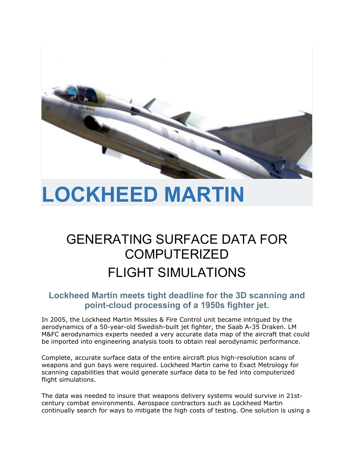

# **LOCKHEED MARTIN**

## GENERATING SURFACE DATA FOR **COMPUTERIZED** FLIGHT SIMULATIONS

#### **Lockheed Martin meets tight deadline for the 3D scanning and point-cloud processing of a 1950s fighter jet.**

In 2005, the Lockheed Martin Missiles & Fire Control unit became intrigued by the aerodynamics of a 50-year-old Swedish-built jet fighter, the Saab A-35 Draken. LM M&FC aerodynamics experts needed a very accurate data map of the aircraft that could be imported into engineering analysis tools to obtain real aerodynamic performance.

Complete, accurate surface data of the entire aircraft plus high-resolution scans of weapons and gun bays were required. Lockheed Martin came to Exact Metrology for scanning capabilities that would generate surface data to be fed into computerized flight simulations.

The data was needed to insure that weapons delivery systems would survive in 21stcentury combat environments. Aerospace contractors such as Lockheed Martin continually search for ways to mitigate the high costs of testing. One solution is using a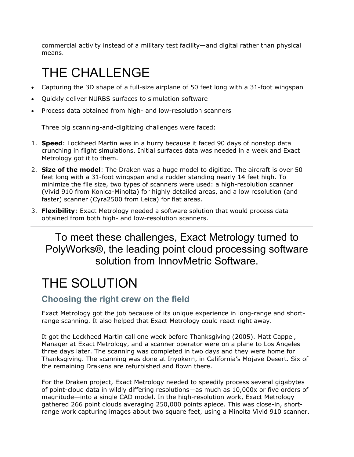commercial activity instead of a military test facility—and digital rather than physical means.

## THE CHALLENGE

- Capturing the 3D shape of a full-size airplane of 50 feet long with a 31-foot wingspan
- Quickly deliver NURBS surfaces to simulation software
- Process data obtained from high- and low-resolution scanners

Three big scanning-and-digitizing challenges were faced:

- 1. **Speed**: Lockheed Martin was in a hurry because it faced 90 days of nonstop data crunching in flight simulations. Initial surfaces data was needed in a week and Exact Metrology got it to them.
- 2. **Size of the model**: The Draken was a huge model to digitize. The aircraft is over 50 feet long with a 31-foot wingspan and a rudder standing nearly 14 feet high. To minimize the file size, two types of scanners were used: a high-resolution scanner (Vivid 910 from Konica-Minolta) for highly detailed areas, and a low resolution (and faster) scanner (Cyra2500 from Leica) for flat areas.
- 3. **Flexibility**: Exact Metrology needed a software solution that would process data obtained from both high- and low-resolution scanners.

To meet these challenges, Exact Metrology turned to PolyWorks®, the leading point cloud processing software solution from InnovMetric Software.

### THE SOLUTION

#### **Choosing the right crew on the field**

Exact Metrology got the job because of its unique experience in long-range and shortrange scanning. It also helped that Exact Metrology could react right away.

It got the Lockheed Martin call one week before Thanksgiving (2005). Matt Cappel, Manager at Exact Metrology, and a scanner operator were on a plane to Los Angeles three days later. The scanning was completed in two days and they were home for Thanksgiving. The scanning was done at Inyokern, in California's Mojave Desert. Six of the remaining Drakens are refurbished and flown there.

For the Draken project, Exact Metrology needed to speedily process several gigabytes of point-cloud data in wildly differing resolutions—as much as 10,000x or five orders of magnitude—into a single CAD model. In the high-resolution work, Exact Metrology gathered 266 point clouds averaging 250,000 points apiece. This was close-in, shortrange work capturing images about two square feet, using a Minolta Vivid 910 scanner.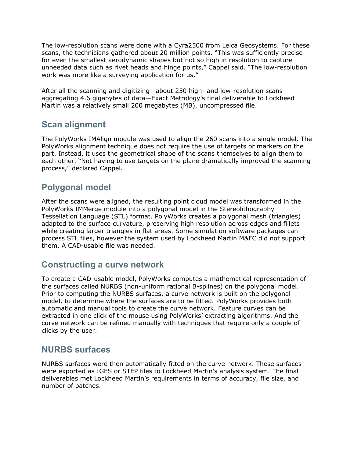The low-resolution scans were done with a Cyra2500 from Leica Geosystems. For these scans, the technicians gathered about 20 million points. "This was sufficiently precise for even the smallest aerodynamic shapes but not so high in resolution to capture unneeded data such as rivet heads and hinge points," Cappel said. "The low-resolution work was more like a surveying application for us."

After all the scanning and digitizing—about 250 high- and low-resolution scans aggregating 4.6 gigabytes of data—Exact Metrology's final deliverable to Lockheed Martin was a relatively small 200 megabytes (MB), uncompressed file.

#### **Scan alignment**

The PolyWorks IMAlign module was used to align the 260 scans into a single model. The PolyWorks alignment technique does not require the use of targets or markers on the part. Instead, it uses the geometrical shape of the scans themselves to align them to each other. "Not having to use targets on the plane dramatically improved the scanning process," declared Cappel.

#### **Polygonal model**

After the scans were aligned, the resulting point cloud model was transformed in the PolyWorks IMMerge module into a polygonal model in the Stereolithography Tessellation Language (STL) format. PolyWorks creates a polygonal mesh (triangles) adapted to the surface curvature, preserving high resolution across edges and fillets while creating larger triangles in flat areas. Some simulation software packages can process STL files, however the system used by Lockheed Martin M&FC did not support them. A CAD-usable file was needed.

#### **Constructing a curve network**

To create a CAD-usable model, PolyWorks computes a mathematical representation of the surfaces called NURBS (non-uniform rational B-splines) on the polygonal model. Prior to computing the NURBS surfaces, a curve network is built on the polygonal model, to determine where the surfaces are to be fitted. PolyWorks provides both automatic and manual tools to create the curve network. Feature curves can be extracted in one click of the mouse using PolyWorks' extracting algorithms. And the curve network can be refined manually with techniques that require only a couple of clicks by the user.

#### **NURBS surfaces**

NURBS surfaces were then automatically fitted on the curve network. These surfaces were exported as IGES or STEP files to Lockheed Martin's analysis system. The final deliverables met Lockheed Martin's requirements in terms of accuracy, file size, and number of patches.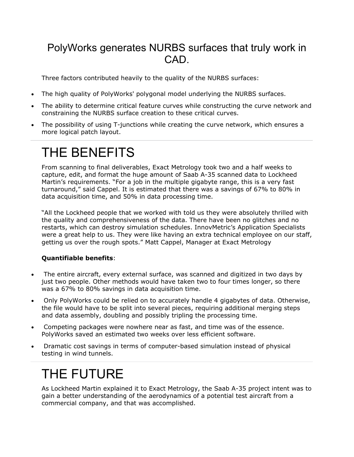### PolyWorks generates NURBS surfaces that truly work in CAD.

Three factors contributed heavily to the quality of the NURBS surfaces:

- The high quality of PolyWorks' polygonal model underlying the NURBS surfaces.
- The ability to determine critical feature curves while constructing the curve network and constraining the NURBS surface creation to these critical curves.
- The possibility of using T-junctions while creating the curve network, which ensures a more logical patch layout.

## THE BENEFITS

From scanning to final deliverables, Exact Metrology took two and a half weeks to capture, edit, and format the huge amount of Saab A-35 scanned data to Lockheed Martin's requirements. "For a job in the multiple gigabyte range, this is a very fast turnaround," said Cappel. It is estimated that there was a savings of 67% to 80% in data acquisition time, and 50% in data processing time.

"All the Lockheed people that we worked with told us they were absolutely thrilled with the quality and comprehensiveness of the data. There have been no glitches and no restarts, which can destroy simulation schedules. InnovMetric's Application Specialists were a great help to us. They were like having an extra technical employee on our staff, getting us over the rough spots." Matt Cappel, Manager at Exact Metrology

#### **Quantifiable benefits**:

- The entire aircraft, every external surface, was scanned and digitized in two days by just two people. Other methods would have taken two to four times longer, so there was a 67% to 80% savings in data acquisition time.
- Only PolyWorks could be relied on to accurately handle 4 gigabytes of data. Otherwise, the file would have to be split into several pieces, requiring additional merging steps and data assembly, doubling and possibly tripling the processing time.
- Competing packages were nowhere near as fast, and time was of the essence. PolyWorks saved an estimated two weeks over less efficient software.
- Dramatic cost savings in terms of computer-based simulation instead of physical testing in wind tunnels.

### THE FUTURE

As Lockheed Martin explained it to Exact Metrology, the Saab A-35 project intent was to gain a better understanding of the aerodynamics of a potential test aircraft from a commercial company, and that was accomplished.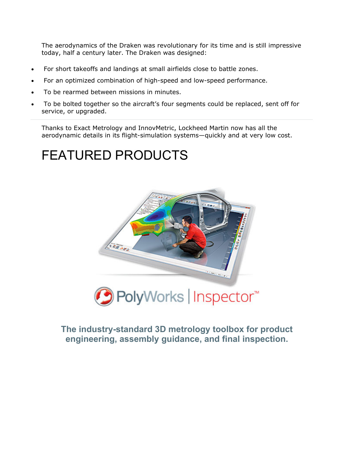The aerodynamics of the Draken was revolutionary for its time and is still impressive today, half a century later. The Draken was designed:

- For short takeoffs and landings at small airfields close to battle zones.
- For an optimized combination of high-speed and low-speed performance.
- To be rearmed between missions in minutes.
- To be bolted together so the aircraft's four segments could be replaced, sent off for service, or upgraded.

Thanks to Exact Metrology and InnovMetric, Lockheed Martin now has all the aerodynamic details in its flight-simulation systems—quickly and at very low cost.

### FEATURED PRODUCTS



**The industry-standard 3D metrology toolbox for product engineering, assembly guidance, and final inspection.**